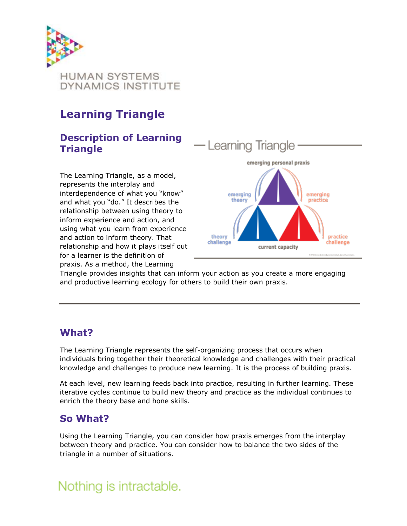

## **Learning Triangle**

### **Description of Learning Triangle**

The Learning Triangle, as a model, represents the interplay and interdependence of what you "know" and what you "do." It describes the relationship between using theory to inform experience and action, and using what you learn from experience and action to inform theory. That relationship and how it plays itself out for a learner is the definition of praxis. As a method, the Learning



Triangle provides insights that can inform your action as you create a more engaging and productive learning ecology for others to build their own praxis.

### **What?**

The Learning Triangle represents the self-organizing process that occurs when individuals bring together their theoretical knowledge and challenges with their practical knowledge and challenges to produce new learning. It is the process of building praxis.

At each level, new learning feeds back into practice, resulting in further learning. These iterative cycles continue to build new theory and practice as the individual continues to enrich the theory base and hone skills.

### **So What?**

Using the Learning Triangle, you can consider how praxis emerges from the interplay between theory and practice. You can consider how to balance the two sides of the triangle in a number of situations.

## Nothing is intractable.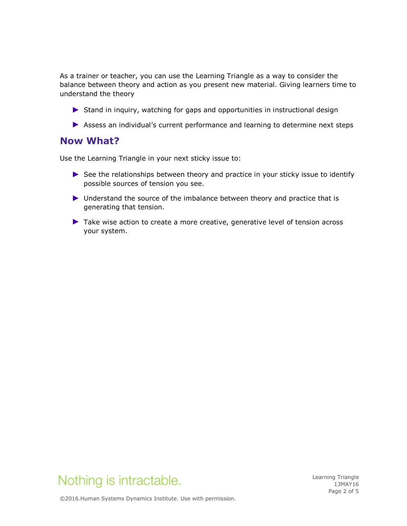As a trainer or teacher, you can use the Learning Triangle as a way to consider the balance between theory and action as you present new material. Giving learners time to understand the theory

- ► Stand in inquiry, watching for gaps and opportunities in instructional design
- ► Assess an individual's current performance and learning to determine next steps

#### **Now What?**

Use the Learning Triangle in your next sticky issue to:

- ► See the relationships between theory and practice in your sticky issue to identify possible sources of tension you see.
- ► Understand the source of the imbalance between theory and practice that is generating that tension.
- ► Take wise action to create a more creative, generative level of tension across your system.



Learning Triangle 13MAY16 Page 2 of 5

©2016.Human Systems Dynamics Institute. Use with permission.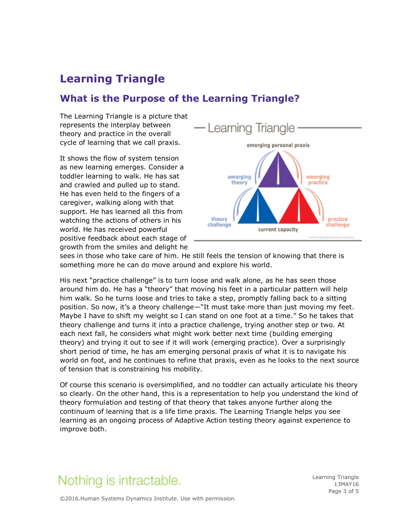## **Learning Triangle**

#### **What is the Purpose of the Learning Triangle?**

The Learning Triangle is a picture that represents the interplay between theory and practice in the overall cycle of learning that we call praxis.

It shows the flow of system tension as new learning emerges. Consider a toddler learning to walk. He has sat and crawled and pulled up to stand. He has even held to the fingers of a caregiver, walking along with that support. He has learned all this from watching the actions of others in his world. He has received powerful positive feedback about each stage of growth from the smiles and delight he



sees in those who take care of him. He still feels the tension of knowing that there is something more he can do move around and explore his world.

His next "practice challenge" is to turn loose and walk alone, as he has seen those around him do. He has a "theory" that moving his feet in a particular pattern will help him walk. So he turns loose and tries to take a step, promptly falling back to a sitting position. So now, it's a theory challenge—"It must take more than just moving my feet. Maybe I have to shift my weight so I can stand on one foot at a time." So he takes that theory challenge and turns it into a practice challenge, trying another step or two. At each next fall, he considers what might work better next time (building emerging theory) and trying it out to see if it will work (emerging practice). Over a surprisingly short period of time, he has am emerging personal praxis of what it is to navigate his world on foot, and he continues to refine that praxis, even as he looks to the next source of tension that is constraining his mobility.

Of course this scenario is oversimplified, and no toddler can actually articulate his theory so clearly. On the other hand, this is a representation to help you understand the kind of theory formulation and testing of that theory that takes anyone further along the continuum of learning that is a life time praxis. The Learning Triangle helps you see learning as an ongoing process of Adaptive Action testing theory against experience to improve both.

## Nothing is intractable.

Learning Triangle 13MAY16 Page 3 of 5

©2016.Human Systems Dynamics Institute. Use with permission.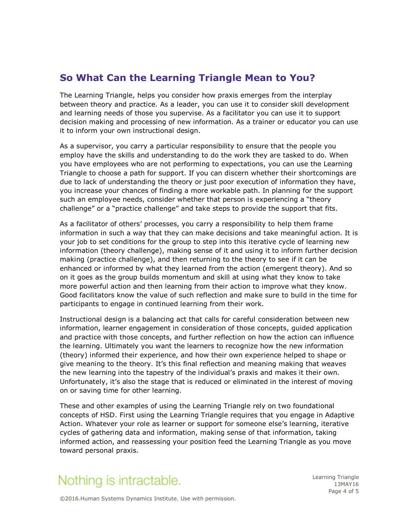### **So What Can the Learning Triangle Mean to You?**

The Learning Triangle, helps you consider how praxis emerges from the interplay between theory and practice. As a leader, you can use it to consider skill development and learning needs of those you supervise. As a facilitator you can use it to support decision making and processing of new information. As a trainer or educator you can use it to inform your own instructional design.

As a supervisor, you carry a particular responsibility to ensure that the people you employ have the skills and understanding to do the work they are tasked to do. When you have employees who are not performing to expectations, you can use the Learning Triangle to choose a path for support. If you can discern whether their shortcomings are due to lack of understanding the theory or just poor execution of information they have, you increase your chances of finding a more workable path. In planning for the support such an employee needs, consider whether that person is experiencing a "theory challenge" or a "practice challenge" and take steps to provide the support that fits.

As a facilitator of others' processes, you carry a responsibility to help them frame information in such a way that they can make decisions and take meaningful action. It is your job to set conditions for the group to step into this iterative cycle of learning new information (theory challenge), making sense of it and using it to inform further decision making (practice challenge), and then returning to the theory to see if it can be enhanced or informed by what they learned from the action (emergent theory). And so on it goes as the group builds momentum and skill at using what they know to take more powerful action and then learning from their action to improve what they know. Good facilitators know the value of such reflection and make sure to build in the time for participants to engage in continued learning from their work.

Instructional design is a balancing act that calls for careful consideration between new information, learner engagement in consideration of those concepts, guided application and practice with those concepts, and further reflection on how the action can influence the learning. Ultimately you want the learners to recognize how the new information (theory) informed their experience, and how their own experience helped to shape or give meaning to the theory. It's this final reflection and meaning making that weaves the new learning into the tapestry of the individual's praxis and makes it their own. Unfortunately, it's also the stage that is reduced or eliminated in the interest of moving on or saving time for other learning.

These and other examples of using the Learning Triangle rely on two foundational concepts of HSD. First using the Learning Triangle requires that you engage in Adaptive Action. Whatever your role as learner or support for someone else's learning, iterative cycles of gathering data and information, making sense of that information, taking informed action, and reassessing your position feed the Learning Triangle as you move toward personal praxis.

# Nothing is intractable.

Learning Triangle 13MAY16 Page 4 of 5